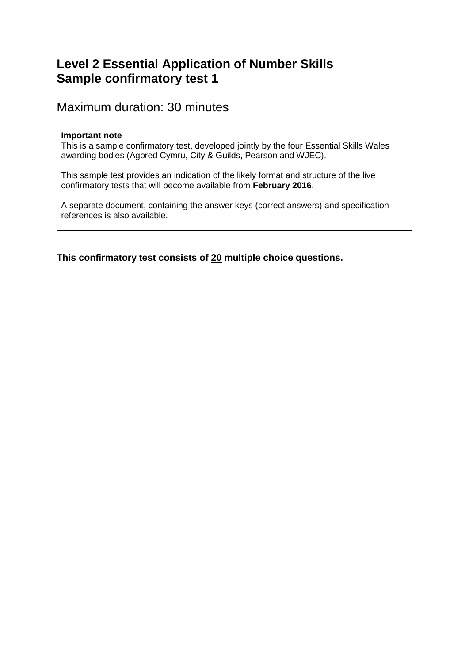# **Level 2 Essential Application of Number Skills Sample confirmatory test 1**

# Maximum duration: 30 minutes

#### **Important note**

This is a sample confirmatory test, developed jointly by the four Essential Skills Wales awarding bodies (Agored Cymru, City & Guilds, Pearson and WJEC).

This sample test provides an indication of the likely format and structure of the live confirmatory tests that will become available from **February 2016**.

A separate document, containing the answer keys (correct answers) and specification references is also available.

**This confirmatory test consists of 20 multiple choice questions.**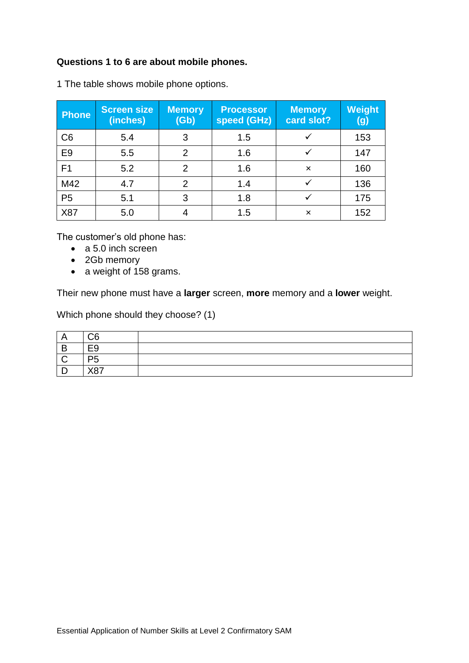# **Questions 1 to 6 are about mobile phones.**

| <b>Phone</b>   | <b>Screen size</b><br>(inches) | <b>Memory</b><br>(Gb) | <b>Processor</b><br>speed (GHz) | <b>Memory</b><br>card slot? | <b>Weight</b><br>(g) |
|----------------|--------------------------------|-----------------------|---------------------------------|-----------------------------|----------------------|
| C <sub>6</sub> | 5.4                            | 3                     | 1.5                             |                             | 153                  |
| E <sub>9</sub> | 5.5                            | $\overline{2}$        | 1.6                             |                             | 147                  |
| F <sub>1</sub> | 5.2                            | $\mathcal{P}$         | 1.6                             | $\boldsymbol{\times}$       | 160                  |
| M42            | 4.7                            | $\overline{2}$        | 1.4                             |                             | 136                  |
| P <sub>5</sub> | 5.1                            | 3                     | 1.8                             |                             | 175                  |
| X87            | 5.0                            |                       | 1.5                             | $\boldsymbol{\mathsf{x}}$   | 152                  |

1 The table shows mobile phone options.

The customer's old phone has:

- a 5.0 inch screen
- 2Gb memory
- a weight of 158 grams.

Their new phone must have a **larger** screen, **more** memory and a **lower** weight.

Which phone should they choose? (1)

| $\cdot$ $\cdot$ | ~~<br>◡               |  |
|-----------------|-----------------------|--|
| D<br>Þ          | -^                    |  |
|                 | n-                    |  |
|                 | $\sqrt{2}$<br>, , , , |  |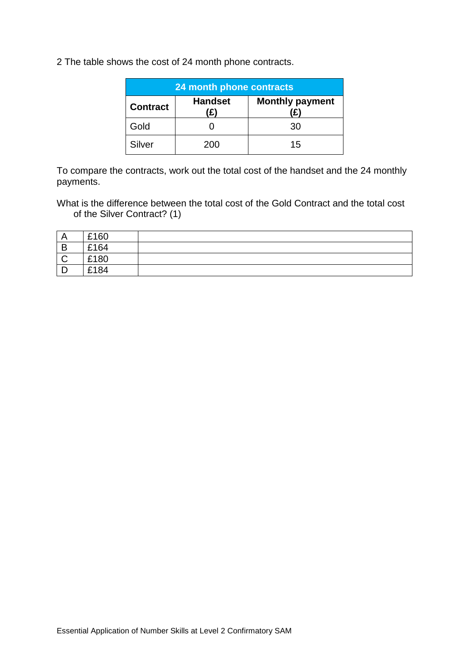2 The table shows the cost of 24 month phone contracts.

| 24 month phone contracts |                |                        |  |
|--------------------------|----------------|------------------------|--|
| <b>Contract</b>          | <b>Handset</b> | <b>Monthly payment</b> |  |
| Gold                     |                | 30                     |  |
| Silver                   | 200            | 15                     |  |

To compare the contracts, work out the total cost of the handset and the 24 monthly payments.

What is the difference between the total cost of the Gold Contract and the total cost of the Silver Contract? (1)

| A            | £160 |  |
|--------------|------|--|
| B            | £164 |  |
| $\mathsf{C}$ | £180 |  |
| ┍<br>┕       | £184 |  |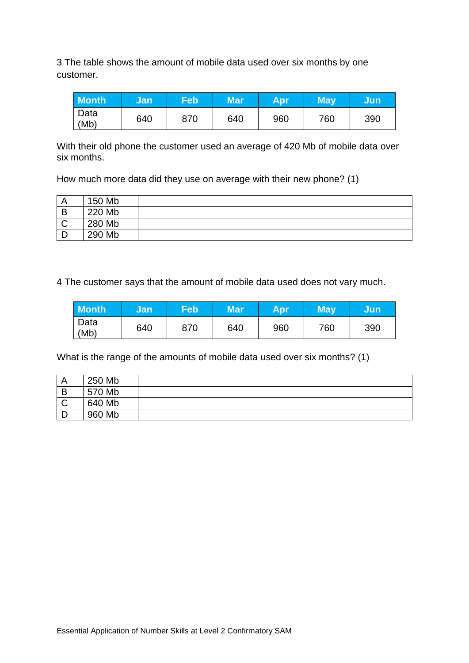3 The table shows the amount of mobile data used over six months by one customer.

| <b>Month</b>              | Jan | <b>Feb</b> | <b>Mar</b> | <b>Apr</b> | <b>May</b> | Jun |
|---------------------------|-----|------------|------------|------------|------------|-----|
| <sup>'</sup> Data<br>(Mb) | 640 | 870        | 640        | 960        | 760        | 390 |

With their old phone the customer used an average of 420 Mb of mobile data over six months.

How much more data did they use on average with their new phone? (1)

|             | 150 Mb |  |
|-------------|--------|--|
| B           | 220 Mb |  |
| $\sim$<br>ັ | 280 Mb |  |
|             | 290 Mb |  |

4 The customer says that the amount of mobile data used does not vary much.

| <b>Month</b> | Jan | Feb | Mar' | <b>Apr</b> | Mav | Uun, |
|--------------|-----|-----|------|------------|-----|------|
| Data<br>(Mb) | 640 | 870 | 640  | 960        | 760 | 390  |

What is the range of the amounts of mobile data used over six months? (1)

|             | 250 Mb |  |
|-------------|--------|--|
| B           | 570 Mb |  |
| $\sim$<br>ັ | 640 Mb |  |
|             | 960 Mb |  |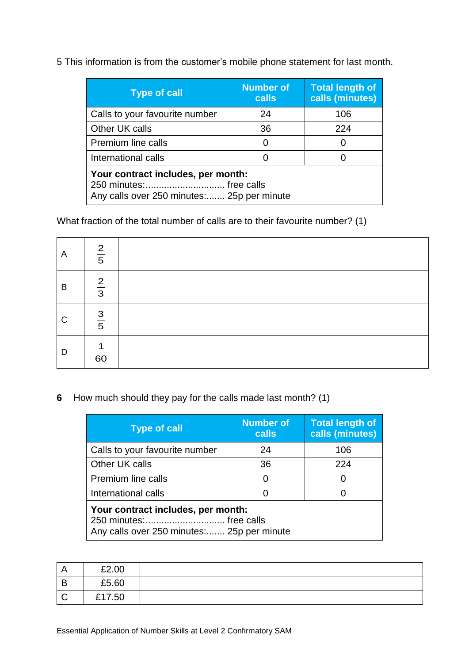5 This information is from the customer's mobile phone statement for last month.

| <b>Type of call</b>                                                                                         | <b>Number of</b><br><b>calls</b> | <b>Total length of</b><br>calls (minutes) |
|-------------------------------------------------------------------------------------------------------------|----------------------------------|-------------------------------------------|
| Calls to your favourite number                                                                              | 24                               | 106                                       |
| Other UK calls                                                                                              | 36                               | 224                                       |
| <b>Premium line calls</b>                                                                                   | 0                                | O                                         |
| International calls                                                                                         |                                  | 0                                         |
| Your contract includes, per month:<br>250 minutes: free calls<br>Any calls over 250 minutes: 25p per minute |                                  |                                           |

What fraction of the total number of calls are to their favourite number? (1)

| $\overline{A}$ | $\frac{2}{5}$        |  |
|----------------|----------------------|--|
| B              | $rac{2}{3}$          |  |
| $\mathsf{C}$   | $\frac{3}{5}$        |  |
| D              | 1<br>$\overline{60}$ |  |

**6** How much should they pay for the calls made last month? (1)

| <b>Type of call</b>                                                                                          | <b>Number of</b><br><b>calls</b> | <b>Total length of</b><br>calls (minutes) |
|--------------------------------------------------------------------------------------------------------------|----------------------------------|-------------------------------------------|
| Calls to your favourite number                                                                               | 24                               | 106                                       |
| Other UK calls                                                                                               | 36                               | 224                                       |
| <b>Premium line calls</b>                                                                                    | 0                                | $\Omega$                                  |
| International calls                                                                                          |                                  |                                           |
| Your contract includes, per month:<br>250 minutes:  free calls<br>Any calls over 250 minutes: 25p per minute |                                  |                                           |

| A              | £2.00  |  |
|----------------|--------|--|
| $\overline{B}$ | £5.60  |  |
| $\mathsf C$    | £17.50 |  |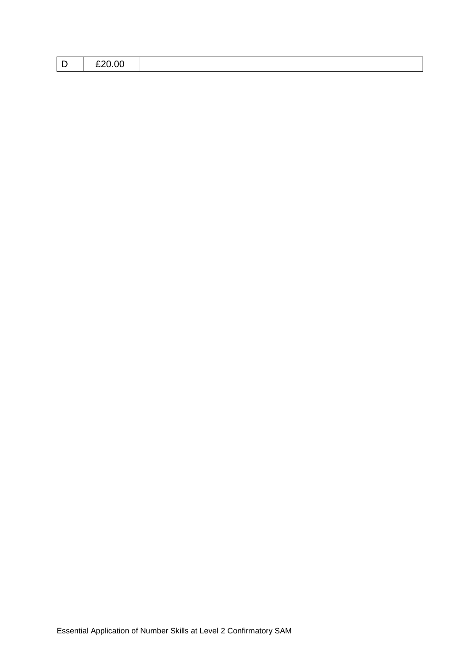| £20.00 |  |  |  |  |  |  |  |
|--------|--|--|--|--|--|--|--|
|--------|--|--|--|--|--|--|--|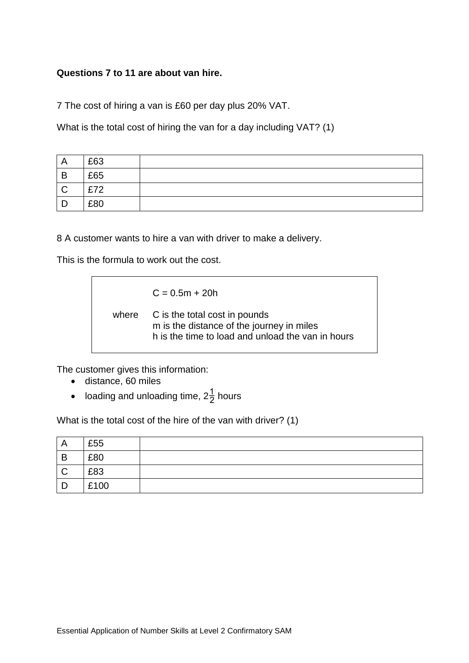#### **Questions 7 to 11 are about van hire.**

7 The cost of hiring a van is £60 per day plus 20% VAT.

What is the total cost of hiring the van for a day including VAT? (1)

|        | £63 |  |
|--------|-----|--|
| B      | £65 |  |
| $\sim$ | £72 |  |
|        | £80 |  |

8 A customer wants to hire a van with driver to make a delivery.

This is the formula to work out the cost.

 $C = 0.5m + 20h$ 

where C is the total cost in pounds m is the distance of the journey in miles h is the time to load and unload the van in hours

The customer gives this information:

- distance, 60 miles
- loading and unloading time,  $2\frac{1}{2}$  hours

What is the total cost of the hire of the van with driver? (1)

| A            | £55  |  |
|--------------|------|--|
| B            | £80  |  |
| $\mathsf C$  | £83  |  |
| $\mathsf{D}$ | £100 |  |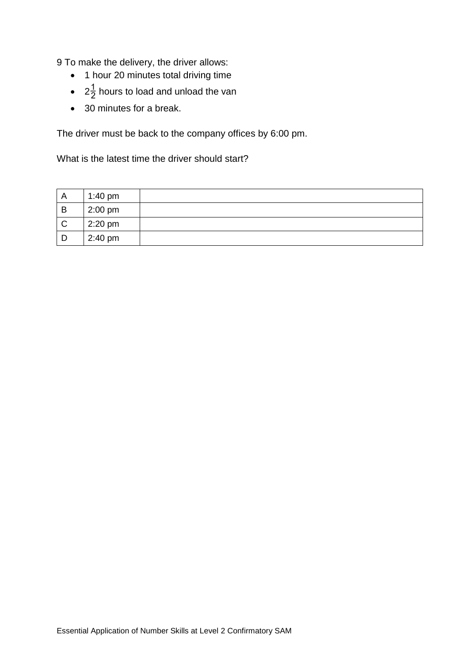9 To make the delivery, the driver allows:

- 1 hour 20 minutes total driving time
- $2\frac{1}{2}$  hours to load and unload the van
- 30 minutes for a break.

The driver must be back to the company offices by 6:00 pm.

What is the latest time the driver should start?

| A            | 1:40 pm   |  |
|--------------|-----------|--|
| B            | $2:00$ pm |  |
| $\mathsf{C}$ | $2:20$ pm |  |
| D            | 2:40 pm   |  |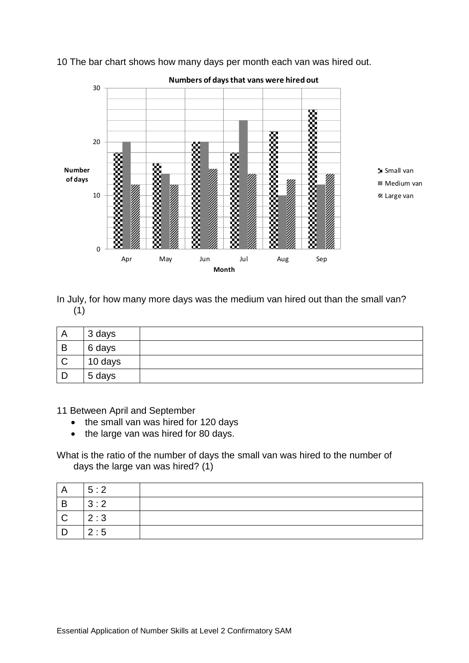

10 The bar chart shows how many days per month each van was hired out.

In July, for how many more days was the medium van hired out than the small van? (1)

| $\sqrt{ }$ | 3 days  |  |
|------------|---------|--|
| B          | 6 days  |  |
| C          | 10 days |  |
|            | 5 days  |  |

11 Between April and September

- the small van was hired for 120 days
- the large van was hired for 80 days.

What is the ratio of the number of days the small van was hired to the number of days the large van was hired? (1)

| A                       | 5:2 |  |
|-------------------------|-----|--|
| $\mathsf B$             | 3:2 |  |
| $\overline{\mathsf{C}}$ | 2:3 |  |
| D                       | 2:5 |  |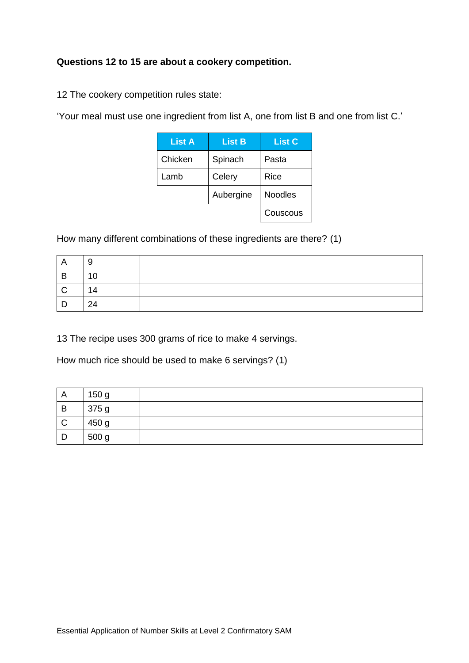# **Questions 12 to 15 are about a cookery competition.**

12 The cookery competition rules state:

'Your meal must use one ingredient from list A, one from list B and one from list C.'

| <b>List A</b> | <b>List B</b> | <b>List C</b>  |  |
|---------------|---------------|----------------|--|
| Chicken       | Spinach       | Pasta          |  |
| Lamb          | Celery        | Rice           |  |
|               | Aubergine     | <b>Noodles</b> |  |
|               |               | Couscous       |  |

How many different combinations of these ingredients are there? (1)

| A   | Y   |  |
|-----|-----|--|
| B   | 10  |  |
| - C | 14  |  |
| D   | -24 |  |

13 The recipe uses 300 grams of rice to make 4 servings.

How much rice should be used to make 6 servings? (1)

| A            | 150 g |  |
|--------------|-------|--|
| B            | 375 g |  |
| $\mathsf{C}$ | 450 g |  |
|              | 500 g |  |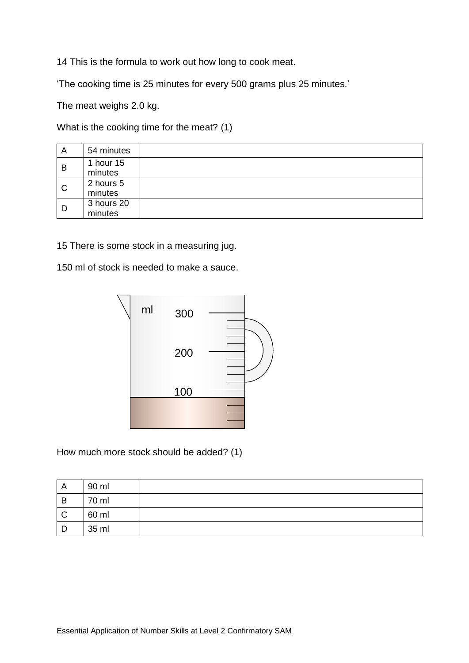14 This is the formula to work out how long to cook meat.

'The cooking time is 25 minutes for every 500 grams plus 25 minutes.'

The meat weighs 2.0 kg.

What is the cooking time for the meat? (1)

| A            | 54 minutes |  |
|--------------|------------|--|
| B            | 1 hour 15  |  |
|              | minutes    |  |
| $\mathsf{C}$ | 2 hours 5  |  |
|              | minutes    |  |
| D            | 3 hours 20 |  |
|              | minutes    |  |

15 There is some stock in a measuring jug.

150 ml of stock is needed to make a sauce.



How much more stock should be added? (1)

| A            | 90 ml |  |
|--------------|-------|--|
| B            | 70 ml |  |
| $\mathsf{C}$ | 60 ml |  |
| D            | 35 ml |  |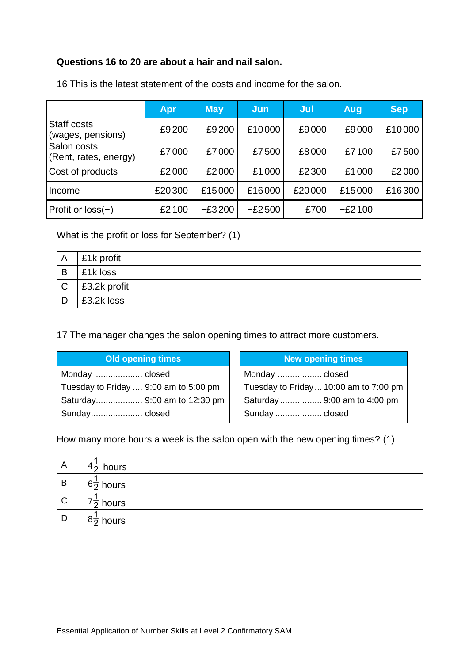### **Questions 16 to 20 are about a hair and nail salon.**

|                                      | Apr    | <b>May</b> | Jun      | Jul    | Aug      | <b>Sep</b> |
|--------------------------------------|--------|------------|----------|--------|----------|------------|
| Staff costs<br>(wages, pensions)     | £9200  | £9200      | £10000   | £9000  | £9000    | £10000     |
| Salon costs<br>(Rent, rates, energy) | £7000  | £7000      | £7500    | £8000  | £7100    | £7500      |
| Cost of products                     | £2000  | £2000      | £1000    | £2300  | £1000    | £2000      |
| Income                               | £20300 | £15000     | £16000   | £20000 | £15000   | £16300     |
| Profit or $loss(-)$                  | £2100  | $-E3200$   | $-E2500$ | £700   | $-E2100$ |            |

16 This is the latest statement of the costs and income for the salon.

What is the profit or loss for September? (1)

|              | £1k profit           |  |
|--------------|----------------------|--|
| B            | $\vert$ £1k loss     |  |
| $\mathsf{C}$ | $\vert$ £3.2k profit |  |
|              | £3.2k loss           |  |

17 The manager changes the salon opening times to attract more customers.

| <b>Old opening times</b>              | <b>New opening times</b>               |
|---------------------------------------|----------------------------------------|
| Monday  closed                        | Monday  closed                         |
| Tuesday to Friday  9:00 am to 5:00 pm | Tuesday to Friday  10:00 am to 7:00 pm |
| Saturday 9:00 am to 12:30 pm          | Saturday  9:00 am to 4:00 pm           |
| Sunday closed                         | Sunday  closed                         |

How many more hours a week is the salon open with the new opening times? (1)

| A            | $4\overline{2}$ hours                |  |
|--------------|--------------------------------------|--|
| B            | $6\frac{1}{2}$ hours                 |  |
| $\mathsf{C}$ | $\rightarrow$<br>$\frac{1}{2}$ hours |  |
| D            | $8\frac{1}{2}$ hours                 |  |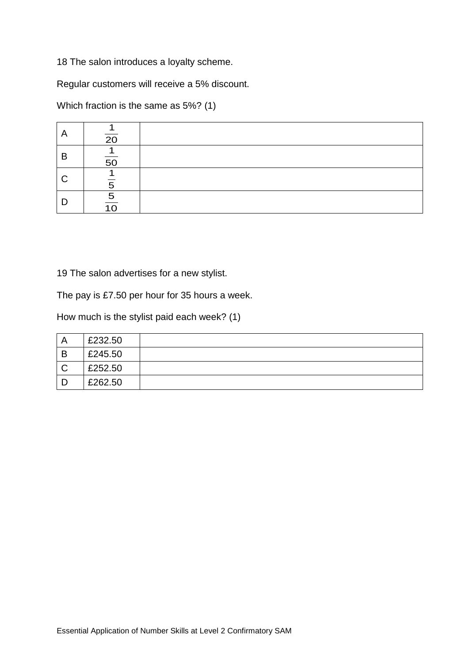18 The salon introduces a loyalty scheme.

Regular customers will receive a 5% discount.

Which fraction is the same as 5%? (1)

| $\overline{A}$ | 20       |  |
|----------------|----------|--|
| B              | 50       |  |
| <sub>C</sub>   | n        |  |
| D              | 5<br>1 O |  |

19 The salon advertises for a new stylist.

The pay is £7.50 per hour for 35 hours a week.

How much is the stylist paid each week? (1)

|   | £232.50 |  |
|---|---------|--|
| B | £245.50 |  |
|   | £252.50 |  |
|   | £262.50 |  |